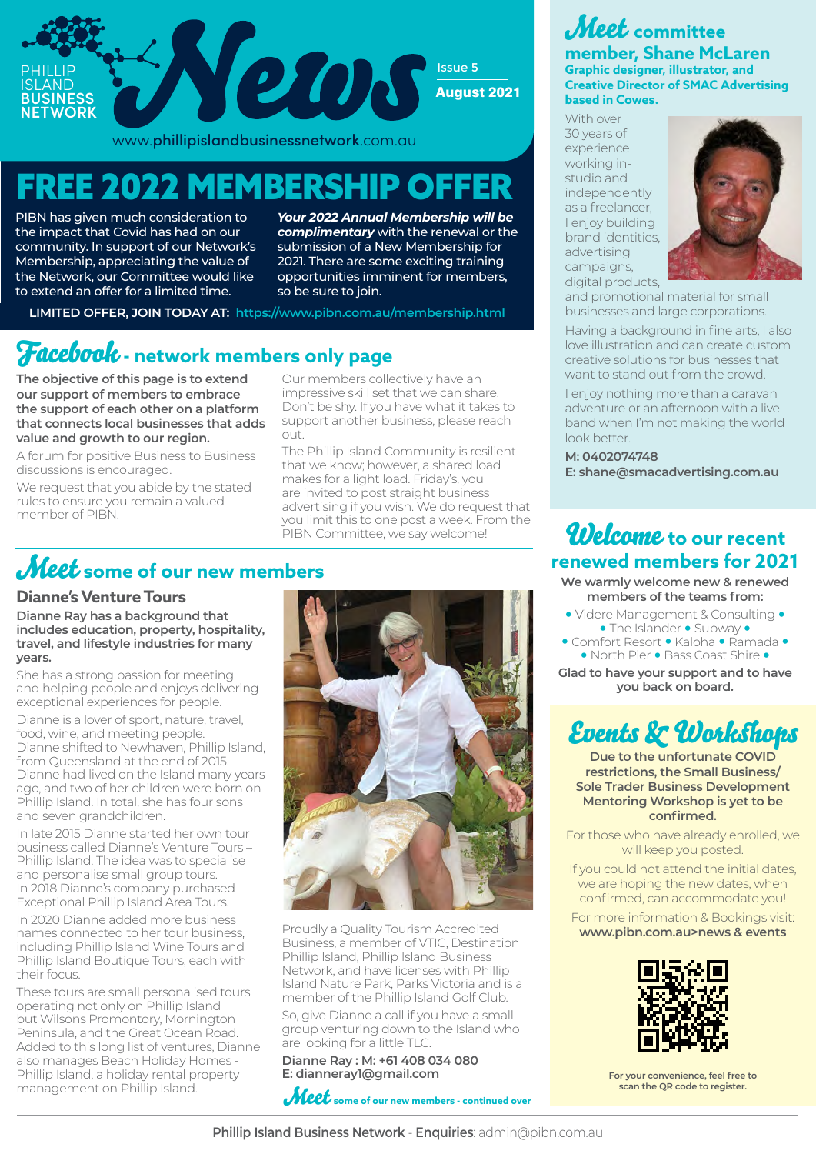

www.phillipislandbusinessnetwork.com.au

# FREE 2022 MEMBERSHIP OFFER

PIBN has given much consideration to the impact that Covid has had on our community. In support of our Network's Membership, appreciating the value of the Network, our Committee would like to extend an offer for a limited time.

*Your 2022 Annual Membership will be complimentary* with the renewal or the submission of a New Membership for 2021. There are some exciting training opportunities imminent for members, so be sure to join.

**LIMITED OFFER, JOIN TODAY AT: https://www.pibn.com.au/membership.html**

## Facebook **- network members only page**

**The objective of this page is to extend our support of members to embrace the support of each other on a platform that connects local businesses that adds value and growth to our region.**

A forum for positive Business to Business discussions is encouraged.

We request that you abide by the stated rules to ensure you remain a valued member of PIBN.

Our members collectively have an impressive skill set that we can share. Don't be shy. If you have what it takes to support another business, please reach out.

The Phillip Island Community is resilient that we know; however, a shared load makes for a light load. Friday's, you are invited to post straight business advertising if you wish. We do request that you limit this to one post a week. From the PIBN Committee, we say welcome!

# Meet **some of our new members**

### **Dianne's Venture Tours**

**Dianne Ray has a background that includes education, property, hospitality, travel, and lifestyle industries for many years.** 

She has a strong passion for meeting and helping people and enjoys delivering exceptional experiences for people.

Dianne is a lover of sport, nature, travel, food, wine, and meeting people. Dianne shifted to Newhaven, Phillip Island, from Queensland at the end of 2015. Dianne had lived on the Island many years ago, and two of her children were born on Phillip Island. In total, she has four sons and seven grandchildren.

In late 2015 Dianne started her own tour business called Dianne's Venture Tours – Phillip Island. The idea was to specialise and personalise small group tours. In 2018 Dianne's company purchased Exceptional Phillip Island Area Tours.

In 2020 Dianne added more business names connected to her tour business, including Phillip Island Wine Tours and Phillip Island Boutique Tours, each with their focus.

These tours are small personalised tours operating not only on Phillip Island but Wilsons Promontory, Mornington Peninsula, and the Great Ocean Road. Added to this long list of ventures, Dianne also manages Beach Holiday Homes - Phillip Island, a holiday rental property management on Phillip Island.



Proudly a Quality Tourism Accredited Business, a member of VTIC, Destination Phillip Island, Phillip Island Business Network, and have licenses with Phillip Island Nature Park, Parks Victoria and is a member of the Phillip Island Golf Club.

So, give Dianne a call if you have a small group venturing down to the Island who are looking for a little TLC.

**Dianne Ray : M: +61 408 034 080 E: dianneray1@gmail.com**



### Meet **committee member, Shane McLaren Graphic designer, illustrator, and Creative Director of SMAC Advertising based in Cowes.**

With over 30 years of experience working instudio and independently as a freelancer, I enjoy building brand identities, advertising campaigns, digital products.



and promotional material for small businesses and large corporations.

Having a background in fine arts, I also love illustration and can create custom creative solutions for businesses that want to stand out from the crowd.

I enjoy nothing more than a caravan adventure or an afternoon with a live band when I'm not making the world look better.

**M: 0402074748 E: shane@smacadvertising.com.au**

## Welcome **to our recent renewed members for 2021**

**We warmly welcome new & renewed members of the teams from:** 

- **•** Videre Management & Consulting **• •** The Islander **•** Subway **• •** Comfort Resort **•** Kaloha **•** Ramada **• •** North Pier **•** Bass Coast Shire **•**
- 

**Glad to have your support and to have you back on board.**

# Events & Workshops

**Due to the unfortunate COVID restrictions, the Small Business/ Sole Trader Business Development Mentoring Workshop is yet to be confirmed.** 

For those who have already enrolled, we will keep you posted.

If you could not attend the initial dates, we are hoping the new dates, when confirmed, can accommodate you!

For more information & Bookings visit: **www.pibn.com.au>news & events** 



**For your convenience, feel free to scan the QR code to register.**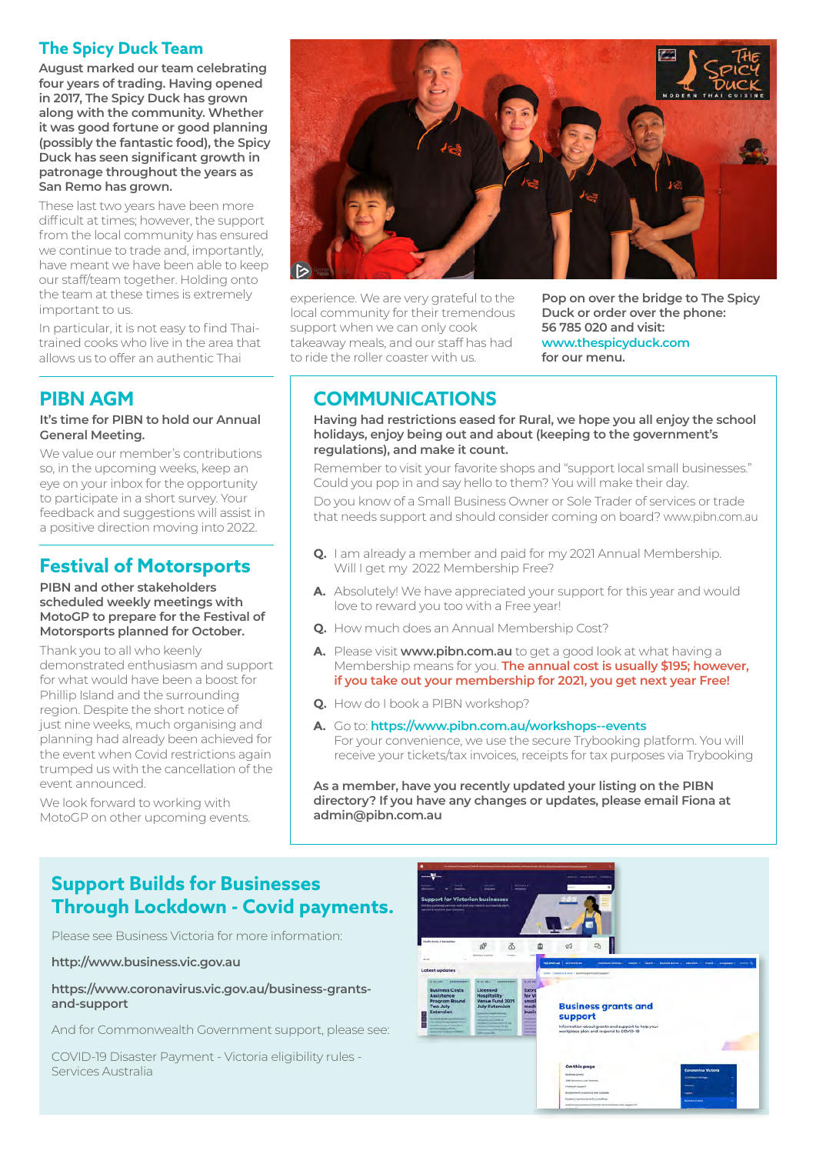### **The Spicy Duck Team**

**August marked our team celebrating four years of trading. Having opened in 2017, The Spicy Duck has grown along with the community. Whether it was good fortune or good planning (possibly the fantastic food), the Spicy Duck has seen significant growth in patronage throughout the years as San Remo has grown.** 

These last two years have been more difficult at times; however, the support from the local community has ensured we continue to trade and, importantly, have meant we have been able to keep our staff/team together. Holding onto the team at these times is extremely important to us.

In particular, it is not easy to find Thaitrained cooks who live in the area that allows us to offer an authentic Thai

## **PIBN AGM**

#### **It's time for PIBN to hold our Annual General Meeting.**

We value our member's contributions so, in the upcoming weeks, keep an eye on your inbox for the opportunity to participate in a short survey. Your feedback and suggestions will assist in a positive direction moving into 2022.

## **Festival of Motorsports**

#### **PIBN and other stakeholders scheduled weekly meetings with MotoGP to prepare for the Festival of Motorsports planned for October.**

Thank you to all who keenly demonstrated enthusiasm and support for what would have been a boost for Phillip Island and the surrounding region. Despite the short notice of just nine weeks, much organising and planning had already been achieved for the event when Covid restrictions again trumped us with the cancellation of the event announced.

We look forward to working with MotoGP on other upcoming events.



experience. We are very grateful to the local community for their tremendous support when we can only cook takeaway meals, and our staff has had to ride the roller coaster with us.

**Pop on over the bridge to The Spicy Duck or order over the phone: 56 785 020 and visit: www.thespicyduck.com for our menu.**

## **COMMUNICATIONS**

**Having had restrictions eased for Rural, we hope you all enjoy the school holidays, enjoy being out and about (keeping to the government's regulations), and make it count.** 

Remember to visit your favorite shops and "support local small businesses." Could you pop in and say hello to them? You will make their day.

Do you know of a Small Business Owner or Sole Trader of services or trade that needs support and should consider coming on board? www.pibn.com.au

- **Q.** I am already a member and paid for my 2021 Annual Membership. Will I get my 2022 Membership Free?
- **A.** Absolutely! We have appreciated your support for this year and would love to reward you too with a Free year!
- **Q.** How much does an Annual Membership Cost?
- **A.** Please visit **www.pibn.com.au** to get a good look at what having a Membership means for you. **The annual cost is usually \$195; however, if you take out your membership for 2021, you get next year Free!**
- **Q.** How do I book a PIBN workshop?
- **A.** Go to: **https://www.pibn.com.au/workshops--events** For your convenience, we use the secure Trybooking platform. You will receive your tickets/tax invoices, receipts for tax purposes via Trybooking

**As a member, have you recently updated your listing on the PIBN directory? If you have any changes or updates, please email Fiona at admin@pibn.com.au**

## **Support Builds for Businesses Through Lockdown - Covid payments.**

Please see Business Victoria for more information:

**http://www.business.vic.gov.au**

**https://www.coronavirus.vic.gov.au/business-grantsand-support**

And for Commonwealth Government support, please see:

COVID-19 Disaster Payment - Victoria eligibility rules - Services Australia